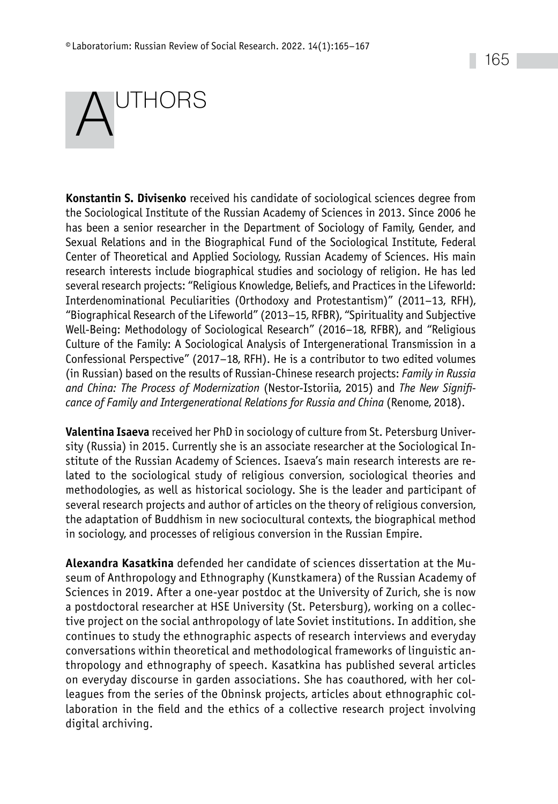## UTHORS

**Konstantin S. Divisenko** received his candidate of sociological sciences degree from the Sociological Institute of the Russian Academy of Sciences in 2013. Since 2006 he has been a senior researcher in the Department of Sociology of Family, Gender, and Sexual Relations and in the Biographical Fund of the Sociological Institute, Federal Center of Theoretical and Applied Sociology, Russian Academy of Sciences. His main research interests include biographical studies and sociology of religion. He has led several research projects: "Religious Knowledge, Beliefs, and Practices in the Lifeworld: Interdenominational Peculiarities (Orthodoxy and Protestantism)" (2011–13, RFH), "Biographical Research of the Lifeworld" (2013–15, RFBR), "Spirituality and Subjective Well-Being: Methodology of Sociological Research" (2016–18, RFBR), and "Religious Culture of the Family: A Sociological Analysis of Intergenerational Transmission in a Confessional Perspective" (2017–18, RFH). He is a contributor to two edited volumes (in Russian) based on the results of Russian-Chinese research projects: *Family in Russia and China: The Process of Modernization* (Nestor-Istoriia, 2015) and *The New Significance of Family and Intergenerational Relations for Russia and China* (Renome, 2018).

**Valentina Isaeva** received her PhD in sociology of culture from St. Petersburg University (Russia) in 2015. Currently she is an associate researcher at the Sociological Institute of the Russian Academy of Sciences. Isaeva's main research interests are related to the sociological study of religious conversion, sociological theories and methodologies, as well as historical sociology. She is the leader and participant of several research projects and author of articles on the theory of religious conversion, the adaptation of Buddhism in new sociocultural contexts, the biographical method in sociology, and processes of religious conversion in the Russian Empire.

**Alexandra Kasatkina** defended her candidate of sciences dissertation at the Museum of Anthropology and Ethnography (Kunstkamera) of the Russian Academy of Sciences in 2019. After a one-year postdoc at the University of Zurich, she is now a postdoctoral researcher at HSE University (St. Petersburg), working on a collective project on the social anthropology of late Soviet institutions. In addition, she continues to study the ethnographic aspects of research interviews and everyday conversations within theoretical and methodological frameworks of linguistic anthropology and ethnography of speech. Kasatkina has published several articles on everyday discourse in garden associations. She has coauthored, with her colleagues from the series of the Obninsk projects, articles about ethnographic collaboration in the field and the ethics of a collective research project involving digital archiving.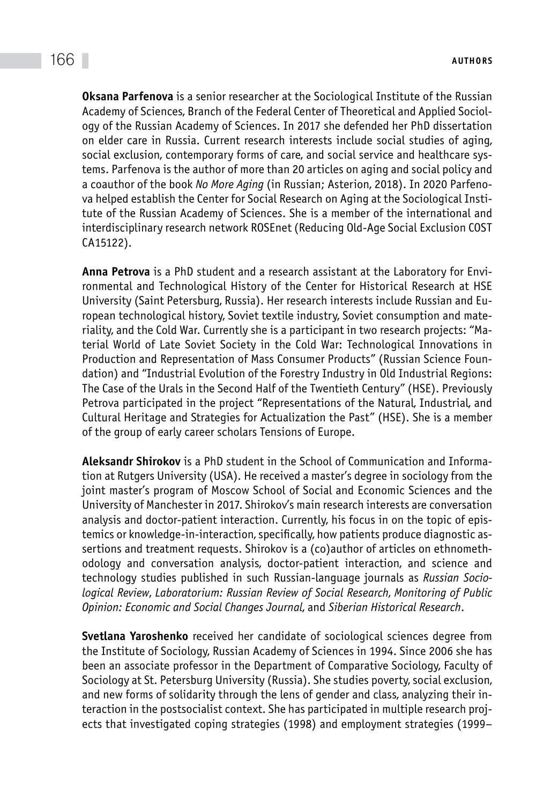**Oksana Parfenova** is a senior researcher at the Sociological Institute of the Russian Academy of Sciences, Branch of the Federal Center of Theoretical and Applied Sociology of the Russian Academy of Sciences. In 2017 she defended her PhD dissertation on elder care in Russia. Current research interests include social studies of aging, social exclusion, contemporary forms of care, and social service and healthcare systems. Parfenova is the author of more than 20 articles on aging and social policy and a coauthor of the book *No More Aging* (in Russian; Asterion, 2018). In 2020 Parfenova helped establish the Center for Social Research on Aging at the Sociological Institute of the Russian Academy of Sciences. She is a member of the international and interdisciplinary research network ROSEnet (Reducing Old-Age Social Exclusion COST CA15122).

**Anna Petrova** is a PhD student and a research assistant at the Laboratory for Environmental and Technological History of the Center for Historical Research at HSE University (Saint Petersburg, Russia). Her research interests include Russian and European technological history, Soviet textile industry, Soviet consumption and materiality, and the Cold War. Currently she is a participant in two research projects: "Material World of Late Soviet Society in the Cold War: Technological Innovations in Production and Representation of Mass Consumer Products" (Russian Science Foundation) and "Industrial Evolution of the Forestry Industry in Old Industrial Regions: The Case of the Urals in the Second Half of the Twentieth Century" (HSE). Previously Petrova participated in the project "Representations of the Natural, Industrial, and Cultural Heritage and Strategies for Actualization the Past" (HSE). She is a member of the group of early career scholars Tensions of Europe.

**Aleksandr Shirokov** is a PhD student in the School of Communication and Information at Rutgers University (USA). He received a master's degree in sociology from the joint master's program of Moscow School of Social and Economic Sciences and the University of Manchester in 2017. Shirokov's main research interests are conversation analysis and doctor-patient interaction. Currently, his focus in on the topic of epistemics or knowledge-in-interaction, specifically, how patients produce diagnostic assertions and treatment requests. Shirokov is a (co)author of articles on ethnomethodology and conversation analysis, doctor-patient interaction, and science and technology studies published in such Russian-language journals as *Russian Sociological Review*, *Laboratorium: Russian Review of Social Research*, *Monitoring of Public Opinion: Economic and Social Changes Journal*, and *Siberian Historical Research*.

**Svetlana Yaroshenko** received her candidate of sociological sciences degree from the Institute of Sociology, Russian Academy of Sciences in 1994. Since 2006 she has been an associate professor in the Department of Comparative Sociology, Faculty of Sociology at St. Petersburg University (Russia). She studies poverty, social exclusion, and new forms of solidarity through the lens of gender and class, analyzing their interaction in the postsocialist context. She has participated in multiple research projects that investigated coping strategies (1998) and employment strategies (1999–